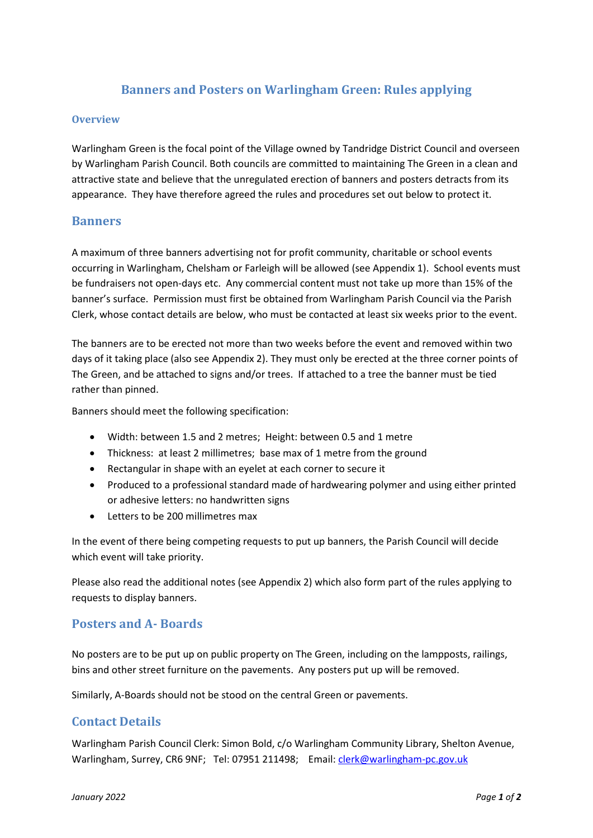# **Banners and Posters on Warlingham Green: Rules applying**

#### **Overview**

Warlingham Green is the focal point of the Village owned by Tandridge District Council and overseen by Warlingham Parish Council. Both councils are committed to maintaining The Green in a clean and attractive state and believe that the unregulated erection of banners and posters detracts from its appearance. They have therefore agreed the rules and procedures set out below to protect it.

#### **Banners**

A maximum of three banners advertising not for profit community, charitable or school events occurring in Warlingham, Chelsham or Farleigh will be allowed (see Appendix 1). School events must be fundraisers not open-days etc. Any commercial content must not take up more than 15% of the banner's surface. Permission must first be obtained from Warlingham Parish Council via the Parish Clerk, whose contact details are below, who must be contacted at least six weeks prior to the event.

The banners are to be erected not more than two weeks before the event and removed within two days of it taking place (also see Appendix 2). They must only be erected at the three corner points of The Green, and be attached to signs and/or trees. If attached to a tree the banner must be tied rather than pinned.

Banners should meet the following specification:

- Width: between 1.5 and 2 metres; Height: between 0.5 and 1 metre
- Thickness: at least 2 millimetres; base max of 1 metre from the ground
- Rectangular in shape with an eyelet at each corner to secure it
- Produced to a professional standard made of hardwearing polymer and using either printed or adhesive letters: no handwritten signs
- Letters to be 200 millimetres max

In the event of there being competing requests to put up banners, the Parish Council will decide which event will take priority.

Please also read the additional notes (see Appendix 2) which also form part of the rules applying to requests to display banners.

### **Posters and A- Boards**

No posters are to be put up on public property on The Green, including on the lampposts, railings, bins and other street furniture on the pavements. Any posters put up will be removed.

Similarly, A-Boards should not be stood on the central Green or pavements.

### **Contact Details**

Warlingham Parish Council Clerk: Simon Bold, c/o Warlingham Community Library, Shelton Avenue, Warlingham, Surrey, CR6 9NF; Tel: 07951 211498; Email[: clerk@warlingham-pc.gov.uk](mailto:clerk@warlingham-pc.gov.uk)